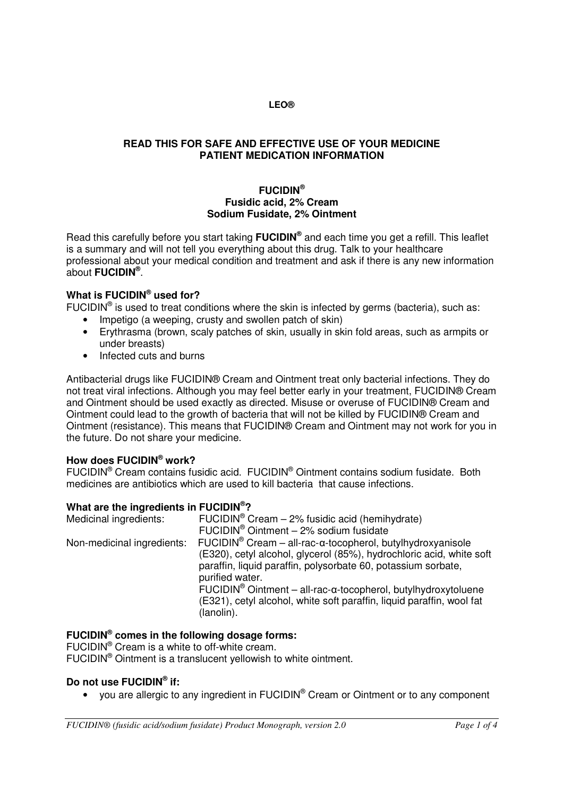## **READ THIS FOR SAFE AND EFFECTIVE USE OF YOUR MEDICINE PATIENT MEDICATION INFORMATION**

## **FUCIDIN® Fusidic acid, 2% Cream Sodium Fusidate, 2% Ointment**

Read this carefully before you start taking **FUCIDIN®** and each time you get a refill. This leaflet is a summary and will not tell you everything about this drug. Talk to your healthcare professional about your medical condition and treatment and ask if there is any new information about **FUCIDIN®** .

# **What is FUCIDIN® used for?**

FUCIDIN<sup>®</sup> is used to treat conditions where the skin is infected by germs (bacteria), such as:

- Impetigo (a weeping, crusty and swollen patch of skin)
- Erythrasma (brown, scaly patches of skin, usually in skin fold areas, such as armpits or under breasts)
- Infected cuts and burns

Antibacterial drugs like FUCIDIN® Cream and Ointment treat only bacterial infections. They do not treat viral infections. Although you may feel better early in your treatment, FUCIDIN® Cream and Ointment should be used exactly as directed. Misuse or overuse of FUCIDIN® Cream and Ointment could lead to the growth of bacteria that will not be killed by FUCIDIN® Cream and Ointment (resistance). This means that FUCIDIN® Cream and Ointment may not work for you in the future. Do not share your medicine.

## **How does FUCIDIN® work?**

FUCIDIN<sup>®</sup> Cream contains fusidic acid. FUCIDIN<sup>®</sup> Ointment contains sodium fusidate. Both medicines are antibiotics which are used to kill bacteria that cause infections.

# **What are the ingredients in FUCIDIN<sup>®</sup>?**<br>Medicinal ingredients: FUCIDIN<sup>®</sup>

Medicinal ingredients:FUCIDIN® Cream – 2% fusidic acid (hemihydrate) FUCIDIN® Ointment – 2% sodium fusidate Non-medicinal ingredients: FUCIDIN<sup>®</sup> Cream – all-rac-α-tocopherol, butylhydroxyanisole (E320), cetyl alcohol, glycerol (85%), hydrochloric acid, white soft paraffin, liquid paraffin, polysorbate 60, potassium sorbate, purified water. FUCIDIN® Ointment – all-rac-α-tocopherol, butylhydroxytoluene (E321), cetyl alcohol, white soft paraffin, liquid paraffin, wool fat (lanolin).

## **FUCIDIN® comes in the following dosage forms:**

FUCIDIN® Cream is a white to off-white cream. FUCIDIN® Ointment is a translucent yellowish to white ointment.

## **Do not use FUCIDIN® if:**

• you are allergic to any ingredient in FUCIDIN<sup>®</sup> Cream or Ointment or to any component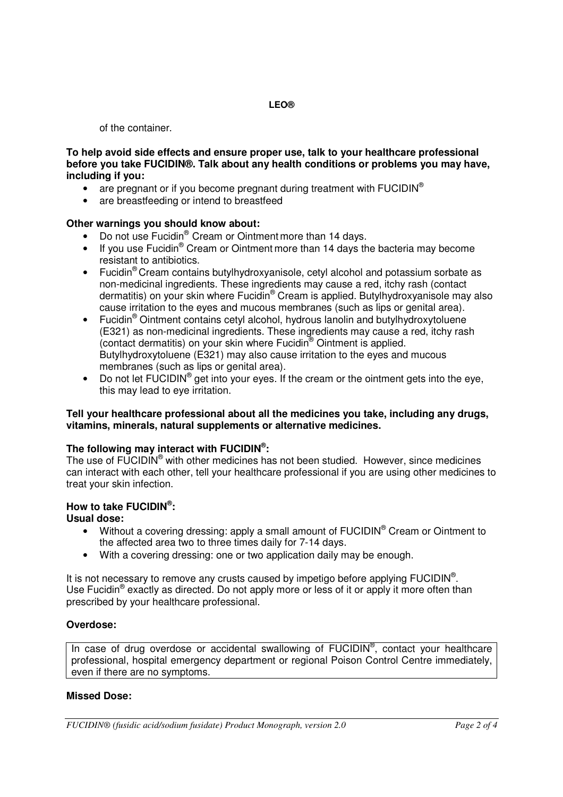of the container.

**To help avoid side effects and ensure proper use, talk to your healthcare professional before you take FUCIDIN®. Talk about any health conditions or problems you may have, including if you:** 

- are pregnant or if you become pregnant during treatment with  $FUCIDIN^<sup>®</sup>$
- are breastfeeding or intend to breastfeed

## **Other warnings you should know about:**

- Do not use Fucidin® Cream or Ointment more than 14 days.
- If you use Fucidin<sup>®</sup> Cream or Ointment more than 14 days the bacteria may become resistant to antibiotics.
- Fucidin<sup>®</sup> Cream contains butylhydroxyanisole, cetyl alcohol and potassium sorbate as non-medicinal ingredients. These ingredients may cause a red, itchy rash (contact dermatitis) on your skin where Fucidin® Cream is applied. Butylhydroxyanisole may also cause irritation to the eyes and mucous membranes (such as lips or genital area).
- Fucidin<sup>®</sup> Ointment contains cetyl alcohol, hydrous lanolin and butylhydroxytoluene (E321) as non-medicinal ingredients. These ingredients may cause a red, itchy rash (contact dermatitis) on your skin where Fucidin® Ointment is applied. Butylhydroxytoluene (E321) may also cause irritation to the eyes and mucous membranes (such as lips or genital area).
- $\bullet$  Do not let  $\mathsf{FUCIDIN}^{\circledcirc}$  get into your eyes. If the cream or the ointment gets into the eye, this may lead to eye irritation.

#### **Tell your healthcare professional about all the medicines you take, including any drugs, vitamins, minerals, natural supplements or alternative medicines.**

## **The following may interact with FUCIDIN® :**

The use of FUCIDIN<sup>®</sup> with other medicines has not been studied. However, since medicines can interact with each other, tell your healthcare professional if you are using other medicines to treat your skin infection.

# **How to take FUCIDIN® :**

## **Usual dose:**

- Without a covering dressing: apply a small amount of FUCIDIN<sup>®</sup> Cream or Ointment to the affected area two to three times daily for 7-14 days.
- With a covering dressing: one or two application daily may be enough.

It is not necessary to remove any crusts caused by impetigo before applying  $\mathsf{FUCIDIN}^{\circledcirc}$ . Use Fucidin<sup>®</sup> exactly as directed. Do not apply more or less of it or apply it more often than prescribed by your healthcare professional.

## **Overdose:**

In case of drug overdose or accidental swallowing of FUCIDIN<sup>®</sup>, contact your healthcare professional, hospital emergency department or regional Poison Control Centre immediately, even if there are no symptoms.

## **Missed Dose:**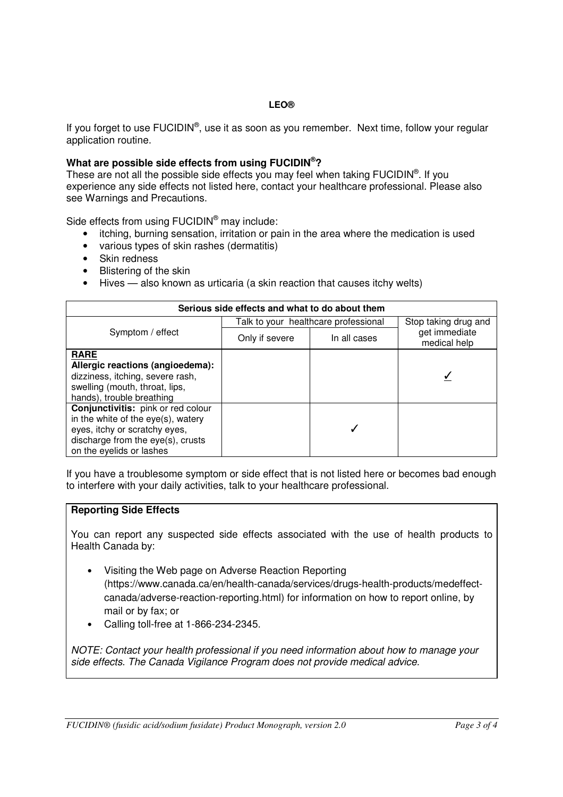If you forget to use FUCIDIN®, use it as soon as you remember. Next time, follow your regular application routine.

#### **What are possible side effects from using FUCIDIN®?**

These are not all the possible side effects you may feel when taking FUCIDIN<sup>®</sup>. If you experience any side effects not listed here, contact your healthcare professional. Please also see Warnings and Precautions.

Side effects from using FUCIDIN<sup>®</sup> may include:

- itching, burning sensation, irritation or pain in the area where the medication is used
- various types of skin rashes (dermatitis)
- Skin redness
- Blistering of the skin
- Hives also known as urticaria (a skin reaction that causes itchy welts)

| Serious side effects and what to do about them                                                                                                                             |                                      |              |                               |
|----------------------------------------------------------------------------------------------------------------------------------------------------------------------------|--------------------------------------|--------------|-------------------------------|
| Symptom / effect                                                                                                                                                           | Talk to your healthcare professional |              | Stop taking drug and          |
|                                                                                                                                                                            | Only if severe                       | In all cases | get immediate<br>medical help |
| <b>RARE</b><br>Allergic reactions (angioedema):<br>dizziness, itching, severe rash,<br>swelling (mouth, throat, lips,<br>hands), trouble breathing                         |                                      |              |                               |
| Conjunctivitis: pink or red colour<br>in the white of the eye(s), watery<br>eyes, itchy or scratchy eyes,<br>discharge from the eye(s), crusts<br>on the eyelids or lashes |                                      |              |                               |

If you have a troublesome symptom or side effect that is not listed here or becomes bad enough to interfere with your daily activities, talk to your healthcare professional.

#### **Reporting Side Effects**

You can report any suspected side effects associated with the use of health products to Health Canada by:

- Visiting the Web page on Adverse Reaction Reporting (https://www.canada.ca/en/health-canada/services/drugs-health-products/medeffect[canada/adverse-reaction-reporting.html\) for information on how to report online, by](https://www.canada.ca/en/health-canada/services/drugs-health-products/medeffect-canada/adverse-reaction-reporting.html)  mail or by fax; or
- Calling toll-free at 1-866-234-2345.

NOTE: Contact your health professional if you need information about how to manage your side effects. The Canada Vigilance Program does not provide medical advice.